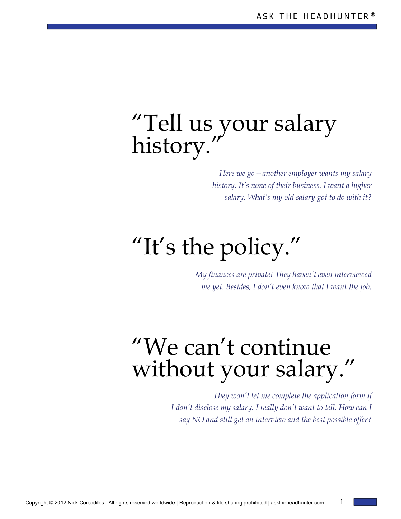## "Tell us your salary history."

*Here we go—another employer wants my salary history. It's none of their business. I want a higher salary. What's my old salary got to do with it?* 

# "It's the policy."

*My finances are private! They haven't even interviewed me yet. Besides, I don't even know that I want the job.* 

## "We can't continue without your salary."

*They won't let me complete the application form if I don't disclose my salary. I really don't want to tell. How can I say NO and still get an interview and the best possible offer?*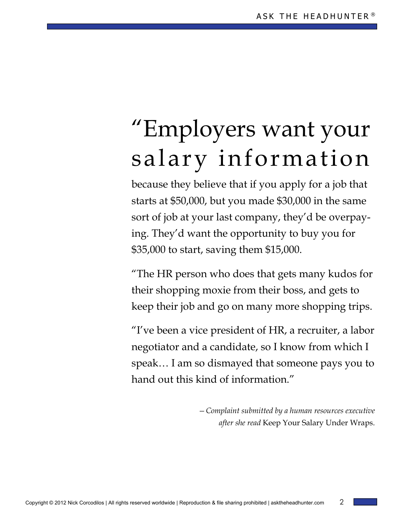# "Employers want your salary information

because they believe that if you apply for a job that starts at \$50,000, but you made \$30,000 in the same sort of job at your last company, they'd be overpaying. They'd want the opportunity to buy you for \$35,000 to start, saving them \$15,000.

"The HR person who does that gets many kudos for their shopping moxie from their boss, and gets to keep their job and go on many more shopping trips.

"I've been a vice president of HR, a recruiter, a labor negotiator and a candidate, so I know from which I speak… I am so dismayed that someone pays you to hand out this kind of information."

> *—Complaint submitted by a human resources executive after she read* Keep Your Salary Under Wraps.